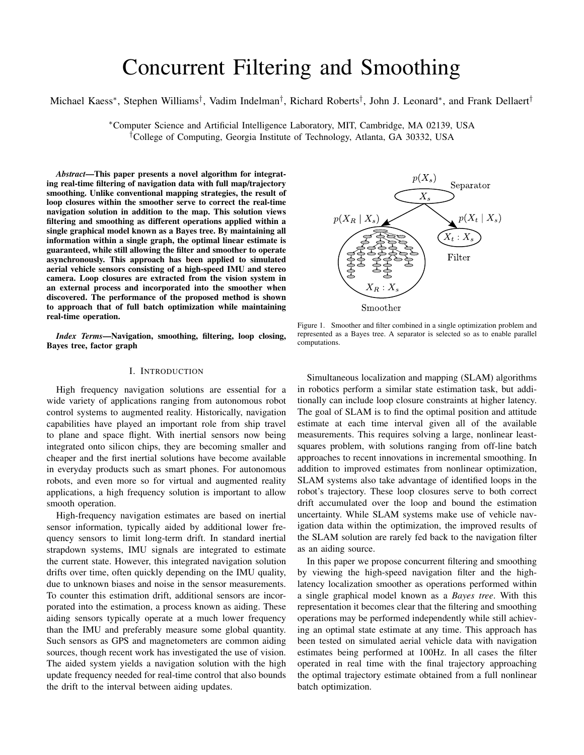# Concurrent Filtering and Smoothing

# Michael Kaess\*, Stephen Williams<sup>†</sup>, Vadim Indelman<sup>†</sup>, Richard Roberts<sup>†</sup>, John J. Leonard\*, and Frank Dellaert<sup>†</sup>

<sup>∗</sup>Computer Science and Artificial Intelligence Laboratory, MIT, Cambridge, MA 02139, USA †College of Computing, Georgia Institute of Technology, Atlanta, GA 30332, USA

*Abstract*—This paper presents a novel algorithm for integrating real-time filtering of navigation data with full map/trajectory smoothing. Unlike conventional mapping strategies, the result of loop closures within the smoother serve to correct the real-time navigation solution in addition to the map. This solution views filtering and smoothing as different operations applied within a single graphical model known as a Bayes tree. By maintaining all information within a single graph, the optimal linear estimate is guaranteed, while still allowing the filter and smoother to operate asynchronously. This approach has been applied to simulated aerial vehicle sensors consisting of a high-speed IMU and stereo camera. Loop closures are extracted from the vision system in an external process and incorporated into the smoother when discovered. The performance of the proposed method is shown to approach that of full batch optimization while maintaining real-time operation.

*Index Terms*—Navigation, smoothing, filtering, loop closing, Bayes tree, factor graph

## I. INTRODUCTION

High frequency navigation solutions are essential for a wide variety of applications ranging from autonomous robot control systems to augmented reality. Historically, navigation capabilities have played an important role from ship travel to plane and space flight. With inertial sensors now being integrated onto silicon chips, they are becoming smaller and cheaper and the first inertial solutions have become available in everyday products such as smart phones. For autonomous robots, and even more so for virtual and augmented reality applications, a high frequency solution is important to allow smooth operation.

High-frequency navigation estimates are based on inertial sensor information, typically aided by additional lower frequency sensors to limit long-term drift. In standard inertial strapdown systems, IMU signals are integrated to estimate the current state. However, this integrated navigation solution drifts over time, often quickly depending on the IMU quality, due to unknown biases and noise in the sensor measurements. To counter this estimation drift, additional sensors are incorporated into the estimation, a process known as aiding. These aiding sensors typically operate at a much lower frequency than the IMU and preferably measure some global quantity. Such sensors as GPS and magnetometers are common aiding sources, though recent work has investigated the use of vision. The aided system yields a navigation solution with the high update frequency needed for real-time control that also bounds the drift to the interval between aiding updates.



Figure 1. Smoother and filter combined in a single optimization problem and represented as a Bayes tree. A separator is selected so as to enable parallel computations.

Simultaneous localization and mapping (SLAM) algorithms in robotics perform a similar state estimation task, but additionally can include loop closure constraints at higher latency. The goal of SLAM is to find the optimal position and attitude estimate at each time interval given all of the available measurements. This requires solving a large, nonlinear leastsquares problem, with solutions ranging from off-line batch approaches to recent innovations in incremental smoothing. In addition to improved estimates from nonlinear optimization, SLAM systems also take advantage of identified loops in the robot's trajectory. These loop closures serve to both correct drift accumulated over the loop and bound the estimation uncertainty. While SLAM systems make use of vehicle navigation data within the optimization, the improved results of the SLAM solution are rarely fed back to the navigation filter as an aiding source.

In this paper we propose concurrent filtering and smoothing by viewing the high-speed navigation filter and the highlatency localization smoother as operations performed within a single graphical model known as a *Bayes tree*. With this representation it becomes clear that the filtering and smoothing operations may be performed independently while still achieving an optimal state estimate at any time. This approach has been tested on simulated aerial vehicle data with navigation estimates being performed at 100Hz. In all cases the filter operated in real time with the final trajectory approaching the optimal trajectory estimate obtained from a full nonlinear batch optimization.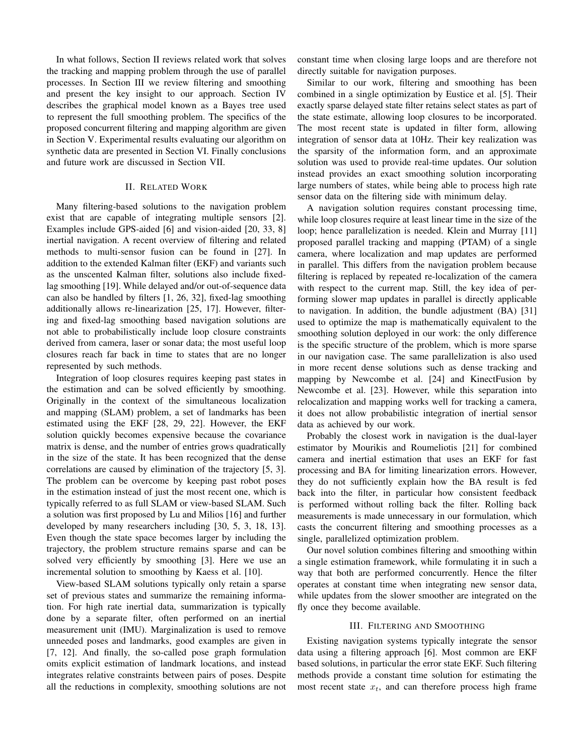In what follows, Section II reviews related work that solves the tracking and mapping problem through the use of parallel processes. In Section III we review filtering and smoothing and present the key insight to our approach. Section IV describes the graphical model known as a Bayes tree used to represent the full smoothing problem. The specifics of the proposed concurrent filtering and mapping algorithm are given in Section V. Experimental results evaluating our algorithm on synthetic data are presented in Section VI. Finally conclusions and future work are discussed in Section VII.

# II. RELATED WORK

Many filtering-based solutions to the navigation problem exist that are capable of integrating multiple sensors [2]. Examples include GPS-aided [6] and vision-aided [20, 33, 8] inertial navigation. A recent overview of filtering and related methods to multi-sensor fusion can be found in [27]. In addition to the extended Kalman filter (EKF) and variants such as the unscented Kalman filter, solutions also include fixedlag smoothing [19]. While delayed and/or out-of-sequence data can also be handled by filters [1, 26, 32], fixed-lag smoothing additionally allows re-linearization [25, 17]. However, filtering and fixed-lag smoothing based navigation solutions are not able to probabilistically include loop closure constraints derived from camera, laser or sonar data; the most useful loop closures reach far back in time to states that are no longer represented by such methods.

Integration of loop closures requires keeping past states in the estimation and can be solved efficiently by smoothing. Originally in the context of the simultaneous localization and mapping (SLAM) problem, a set of landmarks has been estimated using the EKF [28, 29, 22]. However, the EKF solution quickly becomes expensive because the covariance matrix is dense, and the number of entries grows quadratically in the size of the state. It has been recognized that the dense correlations are caused by elimination of the trajectory [5, 3]. The problem can be overcome by keeping past robot poses in the estimation instead of just the most recent one, which is typically referred to as full SLAM or view-based SLAM. Such a solution was first proposed by Lu and Milios [16] and further developed by many researchers including [30, 5, 3, 18, 13]. Even though the state space becomes larger by including the trajectory, the problem structure remains sparse and can be solved very efficiently by smoothing [3]. Here we use an incremental solution to smoothing by Kaess et al. [10].

View-based SLAM solutions typically only retain a sparse set of previous states and summarize the remaining information. For high rate inertial data, summarization is typically done by a separate filter, often performed on an inertial measurement unit (IMU). Marginalization is used to remove unneeded poses and landmarks, good examples are given in [7, 12]. And finally, the so-called pose graph formulation omits explicit estimation of landmark locations, and instead integrates relative constraints between pairs of poses. Despite all the reductions in complexity, smoothing solutions are not constant time when closing large loops and are therefore not directly suitable for navigation purposes.

Similar to our work, filtering and smoothing has been combined in a single optimization by Eustice et al. [5]. Their exactly sparse delayed state filter retains select states as part of the state estimate, allowing loop closures to be incorporated. The most recent state is updated in filter form, allowing integration of sensor data at 10Hz. Their key realization was the sparsity of the information form, and an approximate solution was used to provide real-time updates. Our solution instead provides an exact smoothing solution incorporating large numbers of states, while being able to process high rate sensor data on the filtering side with minimum delay.

A navigation solution requires constant processing time, while loop closures require at least linear time in the size of the loop; hence parallelization is needed. Klein and Murray [11] proposed parallel tracking and mapping (PTAM) of a single camera, where localization and map updates are performed in parallel. This differs from the navigation problem because filtering is replaced by repeated re-localization of the camera with respect to the current map. Still, the key idea of performing slower map updates in parallel is directly applicable to navigation. In addition, the bundle adjustment (BA) [31] used to optimize the map is mathematically equivalent to the smoothing solution deployed in our work: the only difference is the specific structure of the problem, which is more sparse in our navigation case. The same parallelization is also used in more recent dense solutions such as dense tracking and mapping by Newcombe et al. [24] and KinectFusion by Newcombe et al. [23]. However, while this separation into relocalization and mapping works well for tracking a camera, it does not allow probabilistic integration of inertial sensor data as achieved by our work.

Probably the closest work in navigation is the dual-layer estimator by Mourikis and Roumeliotis [21] for combined camera and inertial estimation that uses an EKF for fast processing and BA for limiting linearization errors. However, they do not sufficiently explain how the BA result is fed back into the filter, in particular how consistent feedback is performed without rolling back the filter. Rolling back measurements is made unnecessary in our formulation, which casts the concurrent filtering and smoothing processes as a single, parallelized optimization problem.

Our novel solution combines filtering and smoothing within a single estimation framework, while formulating it in such a way that both are performed concurrently. Hence the filter operates at constant time when integrating new sensor data, while updates from the slower smoother are integrated on the fly once they become available.

#### III. FILTERING AND SMOOTHING

Existing navigation systems typically integrate the sensor data using a filtering approach [6]. Most common are EKF based solutions, in particular the error state EKF. Such filtering methods provide a constant time solution for estimating the most recent state  $x_t$ , and can therefore process high frame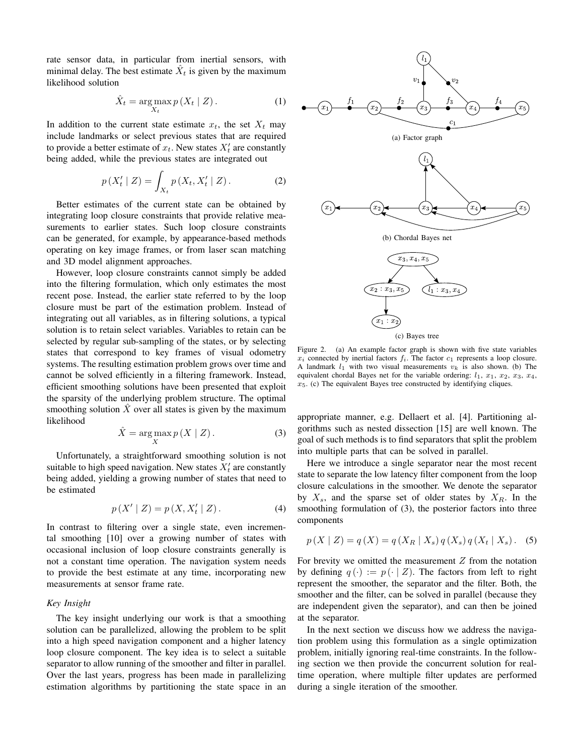rate sensor data, in particular from inertial sensors, with minimal delay. The best estimate  $\hat{X}_t$  is given by the maximum likelihood solution

$$
\hat{X}_t = \underset{X_t}{\text{arg}\max} \, p\left(X_t \mid Z\right). \tag{1}
$$

In addition to the current state estimate  $x_t$ , the set  $X_t$  may include landmarks or select previous states that are required to provide a better estimate of  $x_t$ . New states  $X_t$  are constantly being added, while the previous states are integrated out

$$
p(X'_{t} | Z) = \int_{X_{t}} p(X_{t}, X'_{t} | Z).
$$
 (2)

Better estimates of the current state can be obtained by integrating loop closure constraints that provide relative measurements to earlier states. Such loop closure constraints can be generated, for example, by appearance-based methods operating on key image frames, or from laser scan matching and 3D model alignment approaches.

However, loop closure constraints cannot simply be added into the filtering formulation, which only estimates the most recent pose. Instead, the earlier state referred to by the loop closure must be part of the estimation problem. Instead of integrating out all variables, as in filtering solutions, a typical solution is to retain select variables. Variables to retain can be selected by regular sub-sampling of the states, or by selecting states that correspond to key frames of visual odometry systems. The resulting estimation problem grows over time and cannot be solved efficiently in a filtering framework. Instead, efficient smoothing solutions have been presented that exploit the sparsity of the underlying problem structure. The optimal smoothing solution  $\hat{X}$  over all states is given by the maximum likelihood

$$
\hat{X} = \underset{X}{\text{arg}\max} p(X \mid Z). \tag{3}
$$

Unfortunately, a straightforward smoothing solution is not suitable to high speed navigation. New states  $X_t$  are constantly being added, yielding a growing number of states that need to be estimated

$$
p(X' | Z) = p(X, X'_t | Z).
$$
 (4)

In contrast to filtering over a single state, even incremental smoothing [10] over a growing number of states with occasional inclusion of loop closure constraints generally is not a constant time operation. The navigation system needs to provide the best estimate at any time, incorporating new measurements at sensor frame rate.

# *Key Insight*

The key insight underlying our work is that a smoothing solution can be parallelized, allowing the problem to be split into a high speed navigation component and a higher latency loop closure component. The key idea is to select a suitable separator to allow running of the smoother and filter in parallel. Over the last years, progress has been made in parallelizing estimation algorithms by partitioning the state space in an



Figure 2. (a) An example factor graph is shown with five state variables  $x_i$  connected by inertial factors  $f_i$ . The factor  $c_1$  represents a loop closure. A landmark  $l_1$  with two visual measurements  $v_k$  is also shown. (b) The equivalent chordal Bayes net for the variable ordering:  $l_1$ ,  $x_1$ ,  $x_2$ ,  $x_3$ ,  $x_4$ ,  $x_5$ . (c) The equivalent Bayes tree constructed by identifying cliques.

appropriate manner, e.g. Dellaert et al. [4]. Partitioning algorithms such as nested dissection [15] are well known. The goal of such methods is to find separators that split the problem into multiple parts that can be solved in parallel.

Here we introduce a single separator near the most recent state to separate the low latency filter component from the loop closure calculations in the smoother. We denote the separator by  $X_s$ , and the sparse set of older states by  $X_R$ . In the smoothing formulation of (3), the posterior factors into three components

$$
p(X | Z) = q(X) = q(X_R | X_s) q(X_s) q(X_t | X_s).
$$
 (5)

For brevity we omitted the measurement  $Z$  from the notation by defining  $q(\cdot) := p(\cdot | Z)$ . The factors from left to right represent the smoother, the separator and the filter. Both, the smoother and the filter, can be solved in parallel (because they are independent given the separator), and can then be joined at the separator.

In the next section we discuss how we address the navigation problem using this formulation as a single optimization problem, initially ignoring real-time constraints. In the following section we then provide the concurrent solution for realtime operation, where multiple filter updates are performed during a single iteration of the smoother.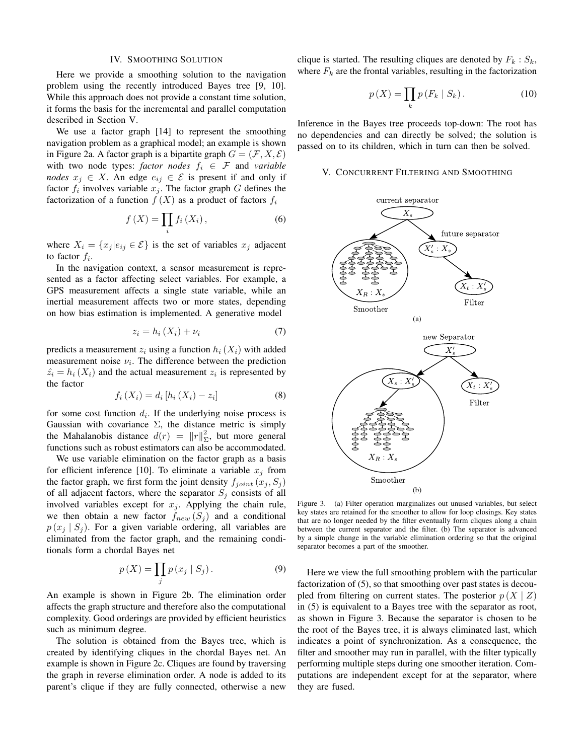#### IV. SMOOTHING SOLUTION

Here we provide a smoothing solution to the navigation problem using the recently introduced Bayes tree [9, 10]. While this approach does not provide a constant time solution, it forms the basis for the incremental and parallel computation described in Section V.

We use a factor graph [14] to represent the smoothing navigation problem as a graphical model; an example is shown in Figure 2a. A factor graph is a bipartite graph  $G = (\mathcal{F}, X, \mathcal{E})$ with two node types: *factor nodes*  $f_i \in \mathcal{F}$  and *variable nodes*  $x_j \in X$ . An edge  $e_{ij} \in \mathcal{E}$  is present if and only if factor  $f_i$  involves variable  $x_j$ . The factor graph G defines the factorization of a function  $f(X)$  as a product of factors  $f_i$ 

$$
f(X) = \prod_{i} f_i(X_i), \qquad (6)
$$

where  $X_i = \{x_j | e_{ij} \in \mathcal{E}\}\$ is the set of variables  $x_j$  adjacent to factor  $f_i$ .

In the navigation context, a sensor measurement is represented as a factor affecting select variables. For example, a GPS measurement affects a single state variable, while an inertial measurement affects two or more states, depending on how bias estimation is implemented. A generative model

$$
z_i = h_i\left(X_i\right) + \nu_i\tag{7}
$$

predicts a measurement  $z_i$  using a function  $h_i(X_i)$  with added measurement noise  $\nu_i$ . The difference between the prediction  $\hat{z}_i = h_i(X_i)$  and the actual measurement  $z_i$  is represented by the factor

$$
f_i(X_i) = d_i [h_i(X_i) - z_i]
$$
 (8)

for some cost function  $d_i$ . If the underlying noise process is Gaussian with covariance  $\Sigma$ , the distance metric is simply the Mahalanobis distance  $d(r) = ||r||_{\Sigma}^2$ , but more general functions such as robust estimators can also be accommodated.

We use variable elimination on the factor graph as a basis for efficient inference [10]. To eliminate a variable  $x_i$  from the factor graph, we first form the joint density  $f_{joint}(x_j, S_j)$ of all adjacent factors, where the separator  $S_j$  consists of all involved variables except for  $x_i$ . Applying the chain rule, we then obtain a new factor  $f_{new}(S_i)$  and a conditional  $p(x_i | S_i)$ . For a given variable ordering, all variables are eliminated from the factor graph, and the remaining conditionals form a chordal Bayes net

$$
p(X) = \prod_{j} p(x_j | S_j).
$$
 (9)

An example is shown in Figure 2b. The elimination order affects the graph structure and therefore also the computational complexity. Good orderings are provided by efficient heuristics such as minimum degree.

The solution is obtained from the Bayes tree, which is created by identifying cliques in the chordal Bayes net. An example is shown in Figure 2c. Cliques are found by traversing the graph in reverse elimination order. A node is added to its parent's clique if they are fully connected, otherwise a new clique is started. The resulting cliques are denoted by  $F_k : S_k$ , where  $F_k$  are the frontal variables, resulting in the factorization

$$
p(X) = \prod_{k} p(F_k | S_k).
$$
 (10)

Inference in the Bayes tree proceeds top-down: The root has no dependencies and can directly be solved; the solution is passed on to its children, which in turn can then be solved.

#### V. CONCURRENT FILTERING AND SMOOTHING



Figure 3. (a) Filter operation marginalizes out unused variables, but select key states are retained for the smoother to allow for loop closings. Key states that are no longer needed by the filter eventually form cliques along a chain between the current separator and the filter. (b) The separator is advanced by a simple change in the variable elimination ordering so that the original separator becomes a part of the smoother.

Here we view the full smoothing problem with the particular factorization of (5), so that smoothing over past states is decoupled from filtering on current states. The posterior  $p(X | Z)$ in (5) is equivalent to a Bayes tree with the separator as root, as shown in Figure 3. Because the separator is chosen to be the root of the Bayes tree, it is always eliminated last, which indicates a point of synchronization. As a consequence, the filter and smoother may run in parallel, with the filter typically performing multiple steps during one smoother iteration. Computations are independent except for at the separator, where they are fused.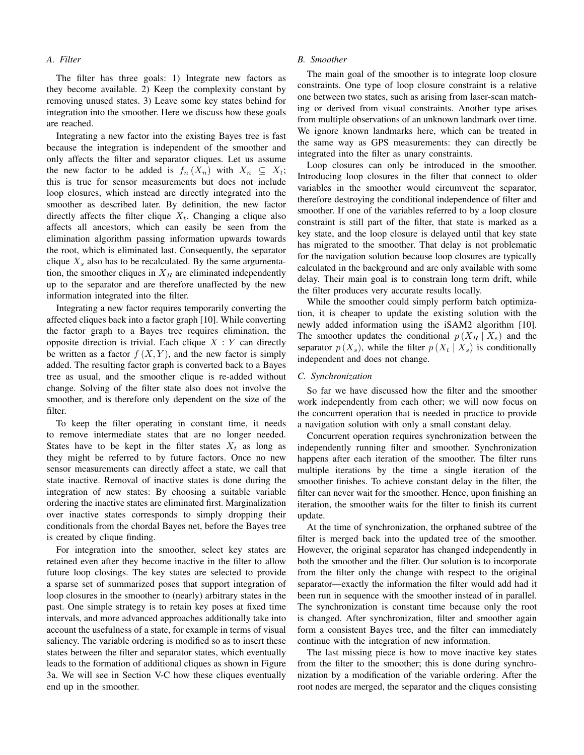# *A. Filter*

The filter has three goals: 1) Integrate new factors as they become available. 2) Keep the complexity constant by removing unused states. 3) Leave some key states behind for integration into the smoother. Here we discuss how these goals are reached.

Integrating a new factor into the existing Bayes tree is fast because the integration is independent of the smoother and only affects the filter and separator cliques. Let us assume the new factor to be added is  $f_n(X_n)$  with  $X_n \subseteq X_t$ ; this is true for sensor measurements but does not include loop closures, which instead are directly integrated into the smoother as described later. By definition, the new factor directly affects the filter clique  $X_t$ . Changing a clique also affects all ancestors, which can easily be seen from the elimination algorithm passing information upwards towards the root, which is eliminated last. Consequently, the separator clique  $X_s$  also has to be recalculated. By the same argumentation, the smoother cliques in  $X_R$  are eliminated independently up to the separator and are therefore unaffected by the new information integrated into the filter.

Integrating a new factor requires temporarily converting the affected cliques back into a factor graph [10]. While converting the factor graph to a Bayes tree requires elimination, the opposite direction is trivial. Each clique  $X : Y$  can directly be written as a factor  $f(X, Y)$ , and the new factor is simply added. The resulting factor graph is converted back to a Bayes tree as usual, and the smoother clique is re-added without change. Solving of the filter state also does not involve the smoother, and is therefore only dependent on the size of the filter.

To keep the filter operating in constant time, it needs to remove intermediate states that are no longer needed. States have to be kept in the filter states  $X_t$  as long as they might be referred to by future factors. Once no new sensor measurements can directly affect a state, we call that state inactive. Removal of inactive states is done during the integration of new states: By choosing a suitable variable ordering the inactive states are eliminated first. Marginalization over inactive states corresponds to simply dropping their conditionals from the chordal Bayes net, before the Bayes tree is created by clique finding.

For integration into the smoother, select key states are retained even after they become inactive in the filter to allow future loop closings. The key states are selected to provide a sparse set of summarized poses that support integration of loop closures in the smoother to (nearly) arbitrary states in the past. One simple strategy is to retain key poses at fixed time intervals, and more advanced approaches additionally take into account the usefulness of a state, for example in terms of visual saliency. The variable ordering is modified so as to insert these states between the filter and separator states, which eventually leads to the formation of additional cliques as shown in Figure 3a. We will see in Section V-C how these cliques eventually end up in the smoother.

#### *B. Smoother*

The main goal of the smoother is to integrate loop closure constraints. One type of loop closure constraint is a relative one between two states, such as arising from laser-scan matching or derived from visual constraints. Another type arises from multiple observations of an unknown landmark over time. We ignore known landmarks here, which can be treated in the same way as GPS measurements: they can directly be integrated into the filter as unary constraints.

Loop closures can only be introduced in the smoother. Introducing loop closures in the filter that connect to older variables in the smoother would circumvent the separator, therefore destroying the conditional independence of filter and smoother. If one of the variables referred to by a loop closure constraint is still part of the filter, that state is marked as a key state, and the loop closure is delayed until that key state has migrated to the smoother. That delay is not problematic for the navigation solution because loop closures are typically calculated in the background and are only available with some delay. Their main goal is to constrain long term drift, while the filter produces very accurate results locally.

While the smoother could simply perform batch optimization, it is cheaper to update the existing solution with the newly added information using the iSAM2 algorithm [10]. The smoother updates the conditional  $p(X_R | X_s)$  and the separator  $p(X_s)$ , while the filter  $p(X_t | X_s)$  is conditionally independent and does not change.

#### *C. Synchronization*

So far we have discussed how the filter and the smoother work independently from each other; we will now focus on the concurrent operation that is needed in practice to provide a navigation solution with only a small constant delay.

Concurrent operation requires synchronization between the independently running filter and smoother. Synchronization happens after each iteration of the smoother. The filter runs multiple iterations by the time a single iteration of the smoother finishes. To achieve constant delay in the filter, the filter can never wait for the smoother. Hence, upon finishing an iteration, the smoother waits for the filter to finish its current update.

At the time of synchronization, the orphaned subtree of the filter is merged back into the updated tree of the smoother. However, the original separator has changed independently in both the smoother and the filter. Our solution is to incorporate from the filter only the change with respect to the original separator—exactly the information the filter would add had it been run in sequence with the smoother instead of in parallel. The synchronization is constant time because only the root is changed. After synchronization, filter and smoother again form a consistent Bayes tree, and the filter can immediately continue with the integration of new information.

The last missing piece is how to move inactive key states from the filter to the smoother; this is done during synchronization by a modification of the variable ordering. After the root nodes are merged, the separator and the cliques consisting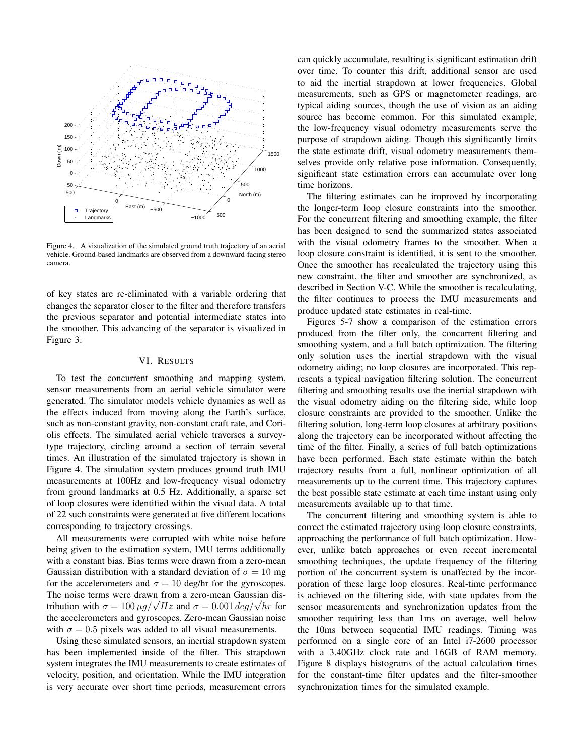

Figure 4. A visualization of the simulated ground truth trajectory of an aerial vehicle. Ground-based landmarks are observed from a downward-facing stereo camera.

of key states are re-eliminated with a variable ordering that changes the separator closer to the filter and therefore transfers the previous separator and potential intermediate states into the smoother. This advancing of the separator is visualized in Figure 3.

# VI. RESULTS

To test the concurrent smoothing and mapping system, sensor measurements from an aerial vehicle simulator were generated. The simulator models vehicle dynamics as well as the effects induced from moving along the Earth's surface, such as non-constant gravity, non-constant craft rate, and Coriolis effects. The simulated aerial vehicle traverses a surveytype trajectory, circling around a section of terrain several times. An illustration of the simulated trajectory is shown in Figure 4. The simulation system produces ground truth IMU measurements at 100Hz and low-frequency visual odometry from ground landmarks at 0.5 Hz. Additionally, a sparse set of loop closures were identified within the visual data. A total of 22 such constraints were generated at five different locations corresponding to trajectory crossings.

All measurements were corrupted with white noise before being given to the estimation system, IMU terms additionally with a constant bias. Bias terms were drawn from a zero-mean Gaussian distribution with a standard deviation of  $\sigma = 10$  mg for the accelerometers and  $\sigma = 10$  deg/hr for the gyroscopes. The noise terms were drawn from a zero-mean Gaussian dis-The noise terms were drawn from a zero-mean Gaussian dis-<br>tribution with  $\sigma = 100 \mu g/\sqrt{Hz}$  and  $\sigma = 0.001 \deg/\sqrt{hr}$  for the accelerometers and gyroscopes. Zero-mean Gaussian noise with  $\sigma = 0.5$  pixels was added to all visual measurements.

Using these simulated sensors, an inertial strapdown system has been implemented inside of the filter. This strapdown system integrates the IMU measurements to create estimates of velocity, position, and orientation. While the IMU integration is very accurate over short time periods, measurement errors

can quickly accumulate, resulting is significant estimation drift over time. To counter this drift, additional sensor are used to aid the inertial strapdown at lower frequencies. Global measurements, such as GPS or magnetometer readings, are typical aiding sources, though the use of vision as an aiding source has become common. For this simulated example, the low-frequency visual odometry measurements serve the purpose of strapdown aiding. Though this significantly limits the state estimate drift, visual odometry measurements themselves provide only relative pose information. Consequently, significant state estimation errors can accumulate over long time horizons.

The filtering estimates can be improved by incorporating the longer-term loop closure constraints into the smoother. For the concurrent filtering and smoothing example, the filter has been designed to send the summarized states associated with the visual odometry frames to the smoother. When a loop closure constraint is identified, it is sent to the smoother. Once the smoother has recalculated the trajectory using this new constraint, the filter and smoother are synchronized, as described in Section V-C. While the smoother is recalculating, the filter continues to process the IMU measurements and produce updated state estimates in real-time.

Figures 5-7 show a comparison of the estimation errors produced from the filter only, the concurrent filtering and smoothing system, and a full batch optimization. The filtering only solution uses the inertial strapdown with the visual odometry aiding; no loop closures are incorporated. This represents a typical navigation filtering solution. The concurrent filtering and smoothing results use the inertial strapdown with the visual odometry aiding on the filtering side, while loop closure constraints are provided to the smoother. Unlike the filtering solution, long-term loop closures at arbitrary positions along the trajectory can be incorporated without affecting the time of the filter. Finally, a series of full batch optimizations have been performed. Each state estimate within the batch trajectory results from a full, nonlinear optimization of all measurements up to the current time. This trajectory captures the best possible state estimate at each time instant using only measurements available up to that time.

The concurrent filtering and smoothing system is able to correct the estimated trajectory using loop closure constraints, approaching the performance of full batch optimization. However, unlike batch approaches or even recent incremental smoothing techniques, the update frequency of the filtering portion of the concurrent system is unaffected by the incorporation of these large loop closures. Real-time performance is achieved on the filtering side, with state updates from the sensor measurements and synchronization updates from the smoother requiring less than 1ms on average, well below the 10ms between sequential IMU readings. Timing was performed on a single core of an Intel i7-2600 processor with a 3.40GHz clock rate and 16GB of RAM memory. Figure 8 displays histograms of the actual calculation times for the constant-time filter updates and the filter-smoother synchronization times for the simulated example.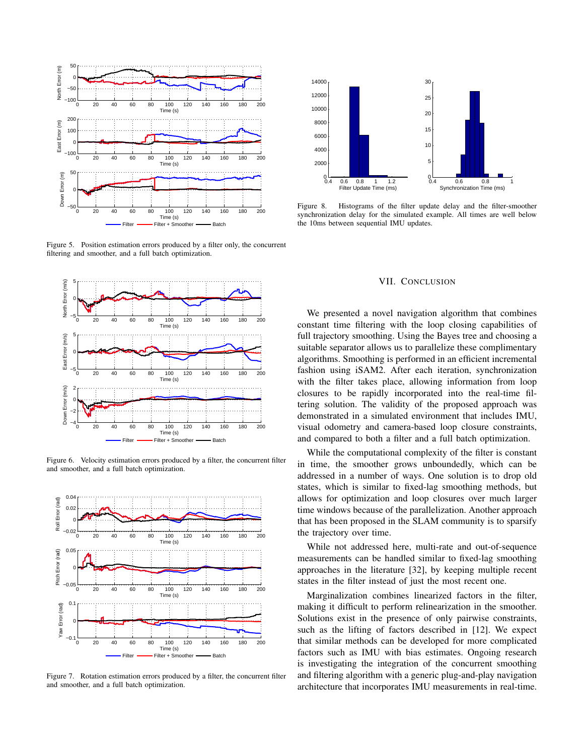

Figure 5. Position estimation errors produced by a filter only, the concurrent filtering and smoother, and a full batch optimization.



Figure 6. Velocity estimation errors produced by a filter, the concurrent filter and smoother, and a full batch optimization.



Figure 7. Rotation estimation errors produced by a filter, the concurrent filter and smoother, and a full batch optimization.



Figure 8. Histograms of the filter update delay and the filter-smoother synchronization delay for the simulated example. All times are well below the 10ms between sequential IMU updates.

# VII. CONCLUSION

We presented a novel navigation algorithm that combines constant time filtering with the loop closing capabilities of full trajectory smoothing. Using the Bayes tree and choosing a suitable separator allows us to parallelize these complimentary algorithms. Smoothing is performed in an efficient incremental fashion using iSAM2. After each iteration, synchronization with the filter takes place, allowing information from loop closures to be rapidly incorporated into the real-time filtering solution. The validity of the proposed approach was demonstrated in a simulated environment that includes IMU, visual odometry and camera-based loop closure constraints, and compared to both a filter and a full batch optimization.

While the computational complexity of the filter is constant in time, the smoother grows unboundedly, which can be addressed in a number of ways. One solution is to drop old states, which is similar to fixed-lag smoothing methods, but allows for optimization and loop closures over much larger time windows because of the parallelization. Another approach that has been proposed in the SLAM community is to sparsify the trajectory over time.

While not addressed here, multi-rate and out-of-sequence measurements can be handled similar to fixed-lag smoothing approaches in the literature [32], by keeping multiple recent states in the filter instead of just the most recent one.

Marginalization combines linearized factors in the filter, making it difficult to perform relinearization in the smoother. Solutions exist in the presence of only pairwise constraints, such as the lifting of factors described in [12]. We expect that similar methods can be developed for more complicated factors such as IMU with bias estimates. Ongoing research is investigating the integration of the concurrent smoothing and filtering algorithm with a generic plug-and-play navigation architecture that incorporates IMU measurements in real-time.